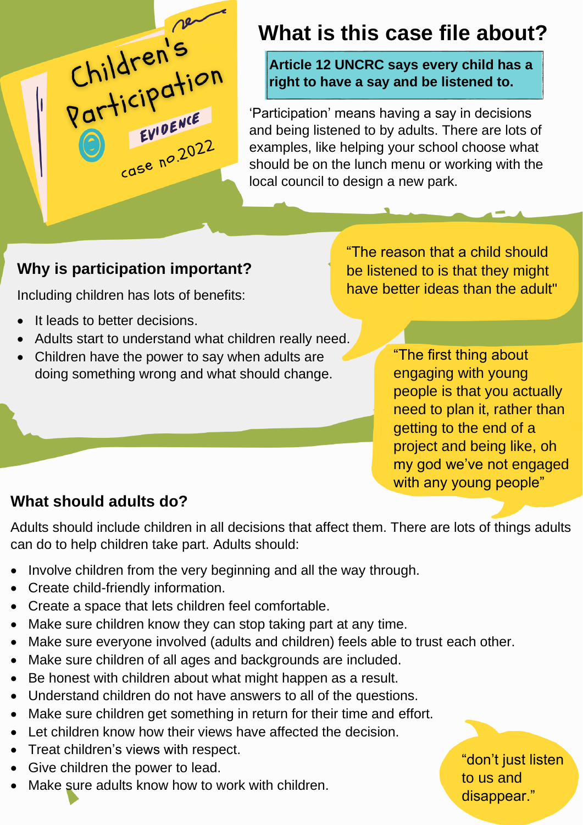# Children's EVIDENCE EVILLE 2022

# **What is this case file about?**

Article 12 UNCRC says every child has a **right to have a say and be listened to.**

'Participation' means having a say in decisions and being listened to by adults. There are lots of examples, like helping your school choose what should be on the lunch menu or working with the local council to design a new park.

### **Why is participation important?**

Including children has lots of benefits:

- It leads to better decisions.
- Adults start to understand what children really need.
- Children have the power to say when adults are doing something wrong and what should change.

"The reason that a child should be listened to is that they might have better ideas than the adult"

> "The first thing about engaging with young people is that you actually need to plan it, rather than getting to the end of a project and being like, oh my god we've not engaged with any young people"

## **What should adults do?**

Adults should include children in all decisions that affect them. There are lots of things adults can do to help children take part. Adults should:

- Involve children from the very beginning and all the way through.
- Create child-friendly information.
- Create a space that lets children feel comfortable.
- Make sure children know they can stop taking part at any time.
- Make sure everyone involved (adults and children) feels able to trust each other.
- Make sure children of all ages and backgrounds are included.
- Be honest with children about what might happen as a result.
- Understand children do not have answers to all of the questions.
- Make sure children get something in return for their time and effort.
- Let children know how their views have affected the decision.
- Treat children's views with respect.
- Give children the power to lead.
- Make sure adults know how to work with children.

"don't just listen to us and disappear."